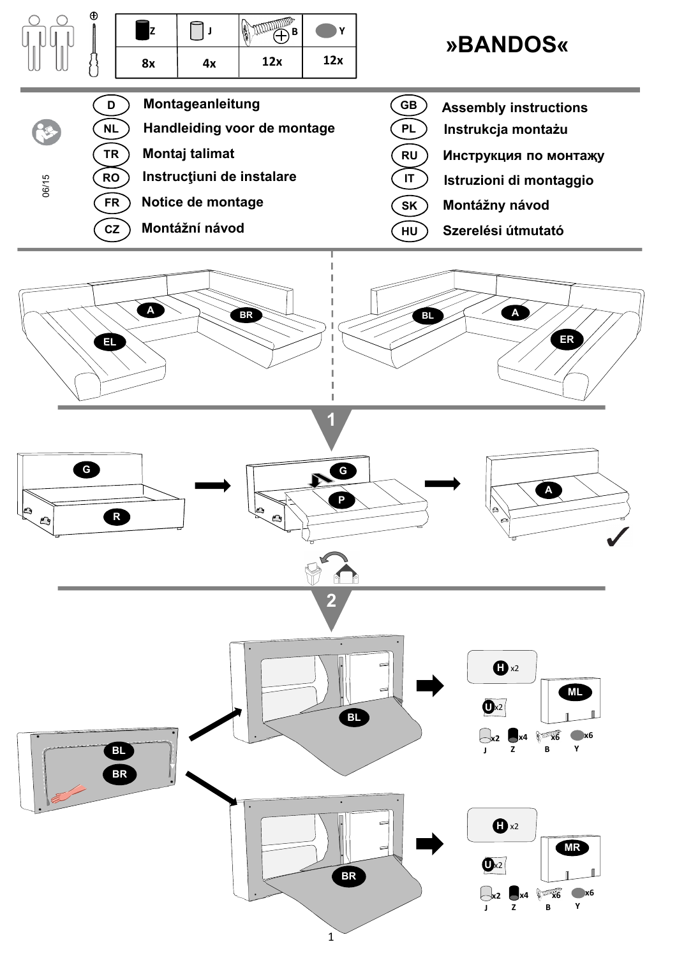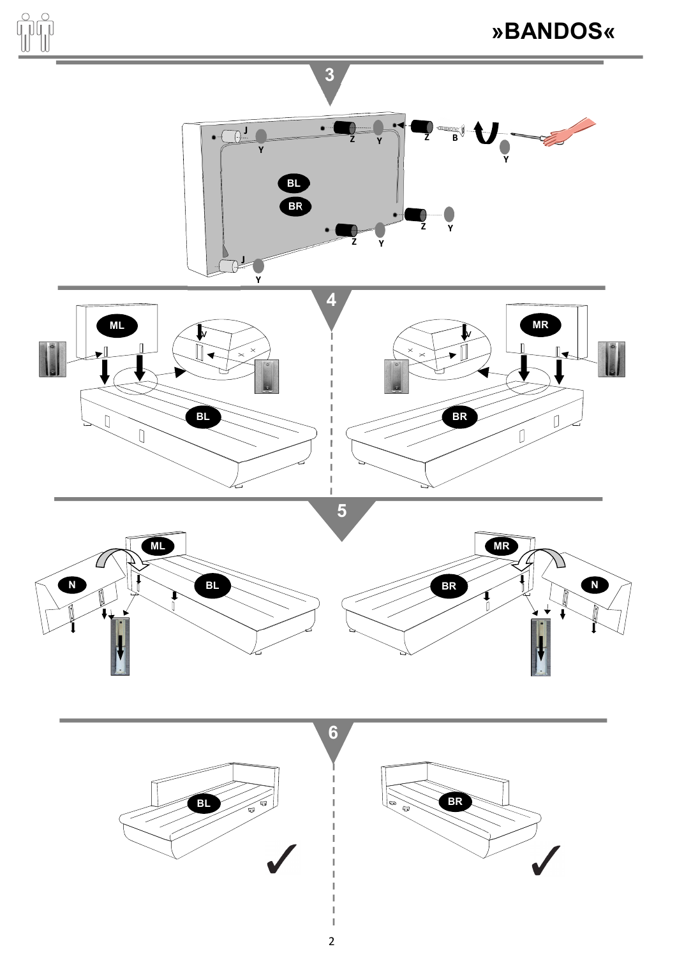

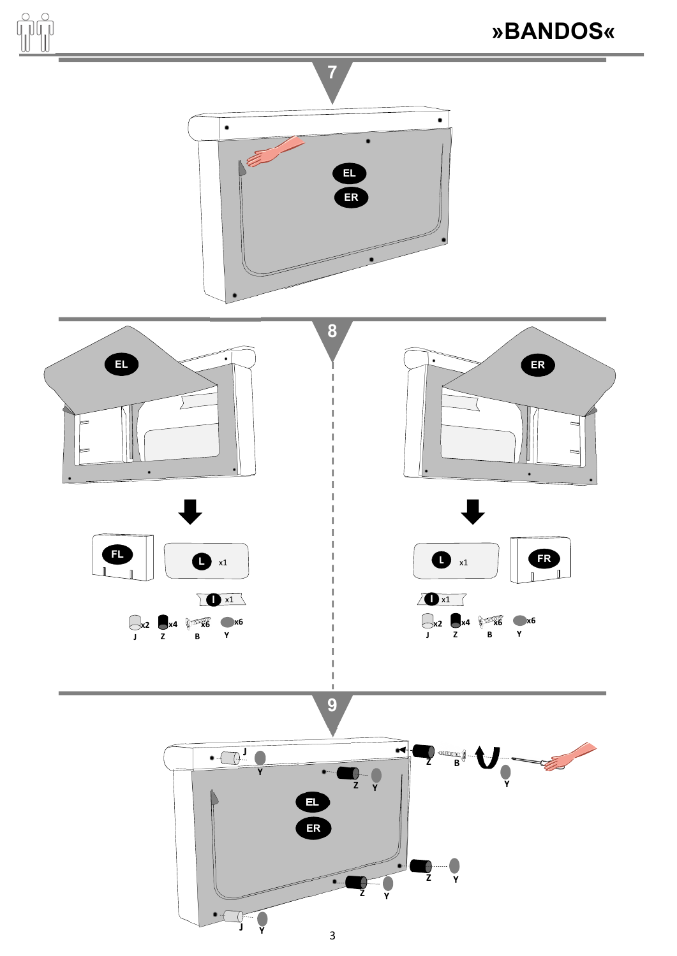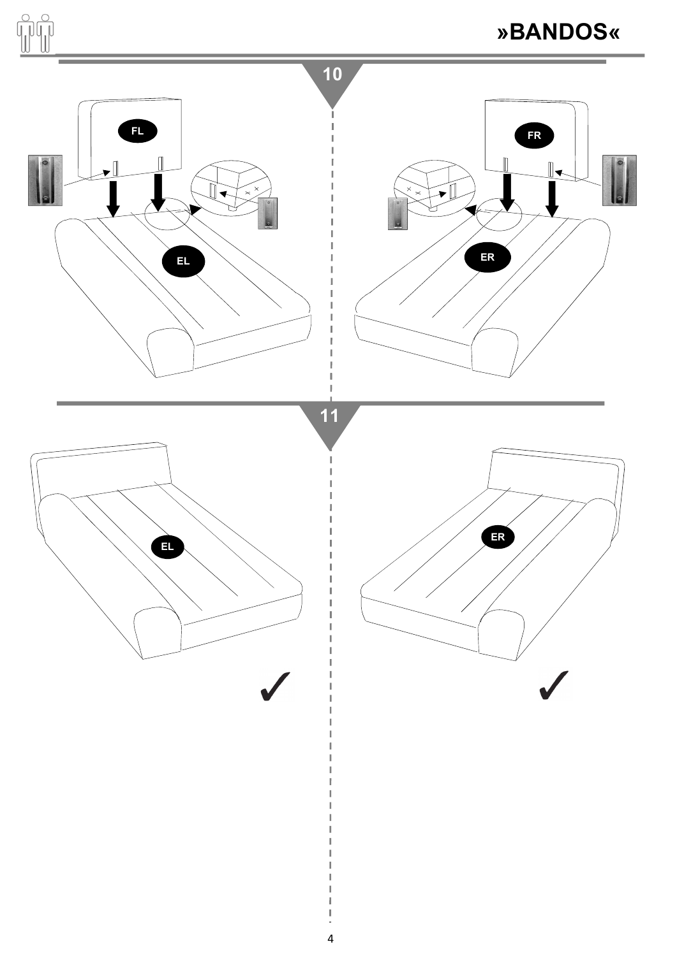![](_page_3_Figure_0.jpeg)

 $\overline{a}$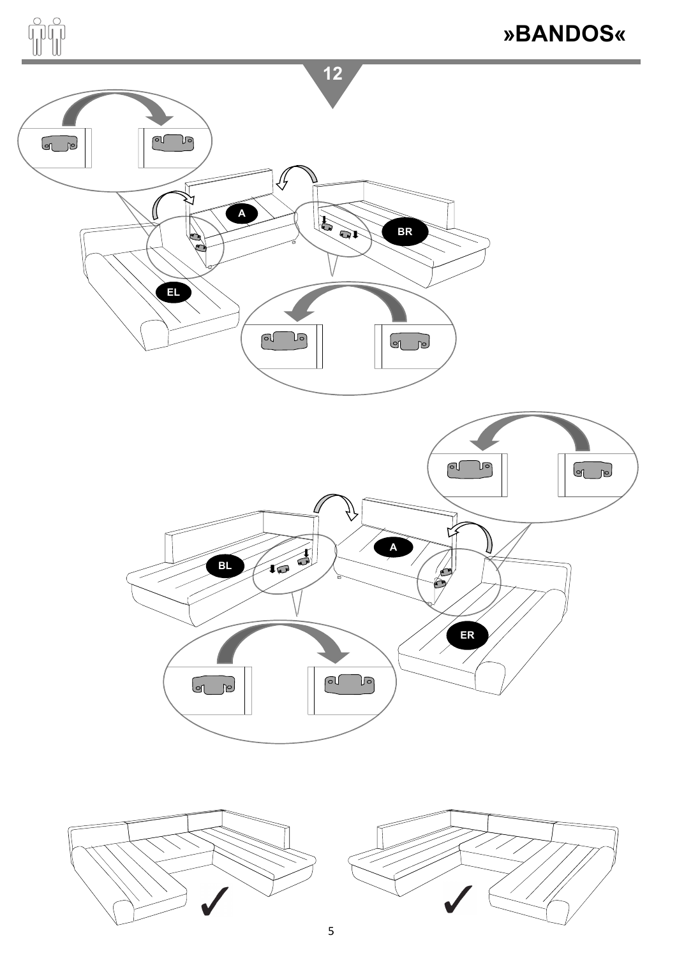![](_page_4_Figure_0.jpeg)

![](_page_4_Figure_1.jpeg)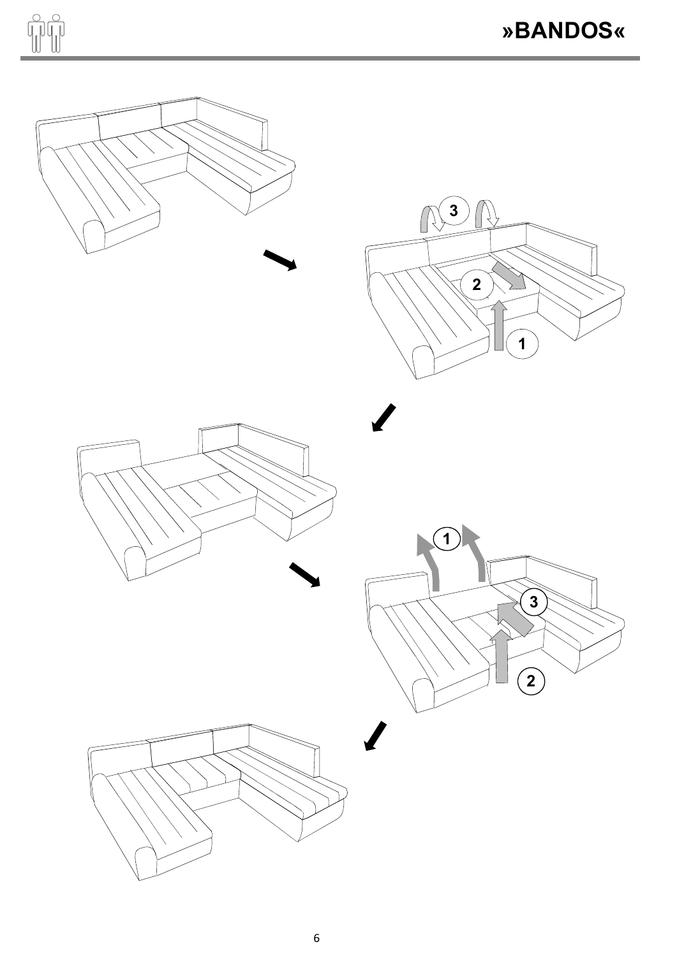![](_page_5_Picture_0.jpeg)

![](_page_5_Figure_2.jpeg)